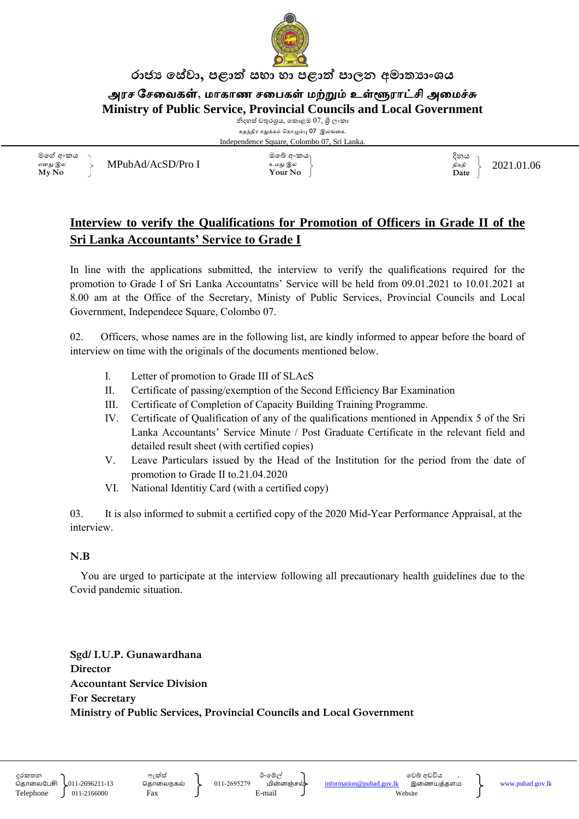

#### රාජා සේවා, පළාත් සභා හා පළාත් පාලන අමාතාහංශය

அரச சேவைகள், மாகாண சபைகள் மற்றும் உள்ளூராட்சி அமைச்சு **Ministry of Public Service, Provincial Councils and Local Government**

> නිදහස් චතුරශුය, කොළඹ  $07$ , ශුි ලංකා சுதந்திர சதுக்கம் ககாழும்பு 07 இலங்வக. Independence Square, Colombo 07, Sri Lanka.

මමේ අ කය எனது இல **My No**

 $MPubAd/AcSD/Pro I$  2021.01.06

 මබ් අ කය உமது இல **Your No**

දිනය திகதி **Date**

#### **Interview to verify the Qualifications for Promotion of Officers in Grade II of the Sri Lanka Accountants' Service to Grade I**

In line with the applications submitted, the interview to verify the qualifications required for the promotion to Grade I of Sri Lanka Accountatns' Service will be held from 09.01.2021 to 10.01.2021 at 8.00 am at the Office of the Secretary, Ministy of Public Services, Provincial Councils and Local Government, Independece Square, Colombo 07.

02. Officers, whose names are in the following list, are kindly informed to appear before the board of interview on time with the originals of the documents mentioned below.

- I. Letter of promotion to Grade III of SLAcS
- II. Certificate of passing/exemption of the Second Efficiency Bar Examination
- III. Certificate of Completion of Capacity Building Training Programme.
- IV. Certificate of Qualification of any of the qualifications mentioned in Appendix 5 of the Sri Lanka Accountants' Service Minute / Post Graduate Certificate in the relevant field and detailed result sheet (with certified copies)
- V. Leave Particulars issued by the Head of the Institution for the period from the date of promotion to Grade II to.21.04.2020
- VI. National Identitiy Card (with a certified copy)

03. It is also informed to submit a certified copy of the 2020 Mid-Year Performance Appraisal, at the interview.

#### **N.B**

 You are urged to participate at the interview following all precautionary health guidelines due to the Covid pandemic situation.

**Sgd/ I.U.P. Gunawardhana Director Accountant Service Division For Secretary Ministry of Public Services, Provincial Councils and Local Government**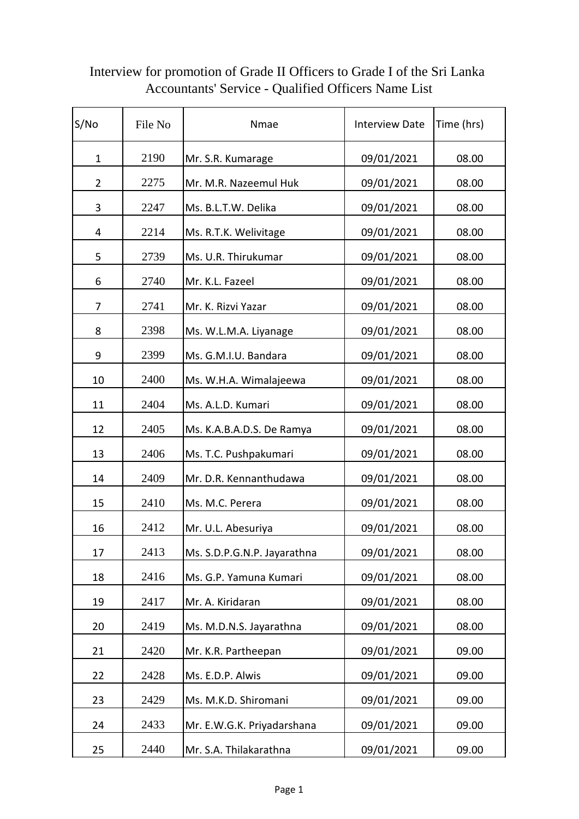| S/No           | File No | Nmae                        | <b>Interview Date</b> | Time (hrs) |
|----------------|---------|-----------------------------|-----------------------|------------|
| $\mathbf{1}$   | 2190    | Mr. S.R. Kumarage           | 09/01/2021            | 08.00      |
| $\overline{2}$ | 2275    | Mr. M.R. Nazeemul Huk       | 09/01/2021            | 08.00      |
| 3              | 2247    | Ms. B.L.T.W. Delika         | 09/01/2021            | 08.00      |
| 4              | 2214    | Ms. R.T.K. Welivitage       | 09/01/2021            | 08.00      |
| 5              | 2739    | Ms. U.R. Thirukumar         | 09/01/2021            | 08.00      |
| 6              | 2740    | Mr. K.L. Fazeel             | 09/01/2021            | 08.00      |
| 7              | 2741    | Mr. K. Rizvi Yazar          | 09/01/2021            | 08.00      |
| 8              | 2398    | Ms. W.L.M.A. Liyanage       | 09/01/2021            | 08.00      |
| 9              | 2399    | Ms. G.M.I.U. Bandara        | 09/01/2021            | 08.00      |
| 10             | 2400    | Ms. W.H.A. Wimalajeewa      | 09/01/2021            | 08.00      |
| 11             | 2404    | Ms. A.L.D. Kumari           | 09/01/2021            | 08.00      |
| 12             | 2405    | Ms. K.A.B.A.D.S. De Ramya   | 09/01/2021            | 08.00      |
| 13             | 2406    | Ms. T.C. Pushpakumari       | 09/01/2021            | 08.00      |
| 14             | 2409    | Mr. D.R. Kennanthudawa      | 09/01/2021            | 08.00      |
| 15             | 2410    | Ms. M.C. Perera             | 09/01/2021            | 08.00      |
| 16             | 2412    | Mr. U.L. Abesuriya          | 09/01/2021            | 08.00      |
| 17             | 2413    | Ms. S.D.P.G.N.P. Jayarathna | 09/01/2021            | 08.00      |
| 18             | 2416    | Ms. G.P. Yamuna Kumari      | 09/01/2021            | 08.00      |
| 19             | 2417    | Mr. A. Kiridaran            | 09/01/2021            | 08.00      |
| 20             | 2419    | Ms. M.D.N.S. Jayarathna     | 09/01/2021            | 08.00      |
| 21             | 2420    | Mr. K.R. Partheepan         | 09/01/2021            | 09.00      |
| 22             | 2428    | Ms. E.D.P. Alwis            | 09/01/2021            | 09.00      |
| 23             | 2429    | Ms. M.K.D. Shiromani        | 09/01/2021            | 09.00      |
| 24             | 2433    | Mr. E.W.G.K. Priyadarshana  | 09/01/2021            | 09.00      |
| 25             | 2440    | Mr. S.A. Thilakarathna      | 09/01/2021            | 09.00      |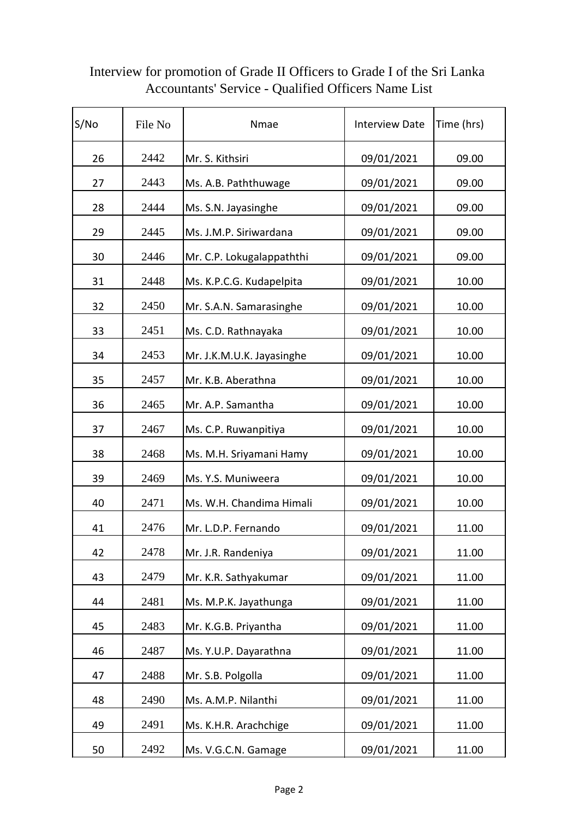| S/No | File No | Nmae                      | <b>Interview Date</b> | Time (hrs) |
|------|---------|---------------------------|-----------------------|------------|
| 26   | 2442    | Mr. S. Kithsiri           | 09/01/2021            | 09.00      |
| 27   | 2443    | Ms. A.B. Paththuwage      | 09/01/2021            | 09.00      |
| 28   | 2444    | Ms. S.N. Jayasinghe       | 09/01/2021            | 09.00      |
| 29   | 2445    | Ms. J.M.P. Siriwardana    | 09/01/2021            | 09.00      |
| 30   | 2446    | Mr. C.P. Lokugalappaththi | 09/01/2021            | 09.00      |
| 31   | 2448    | Ms. K.P.C.G. Kudapelpita  | 09/01/2021            | 10.00      |
| 32   | 2450    | Mr. S.A.N. Samarasinghe   | 09/01/2021            | 10.00      |
| 33   | 2451    | Ms. C.D. Rathnayaka       | 09/01/2021            | 10.00      |
| 34   | 2453    | Mr. J.K.M.U.K. Jayasinghe | 09/01/2021            | 10.00      |
| 35   | 2457    | Mr. K.B. Aberathna        | 09/01/2021            | 10.00      |
| 36   | 2465    | Mr. A.P. Samantha         | 09/01/2021            | 10.00      |
| 37   | 2467    | Ms. C.P. Ruwanpitiya      | 09/01/2021            | 10.00      |
| 38   | 2468    | Ms. M.H. Sriyamani Hamy   | 09/01/2021            | 10.00      |
| 39   | 2469    | Ms. Y.S. Muniweera        | 09/01/2021            | 10.00      |
| 40   | 2471    | Ms. W.H. Chandima Himali  | 09/01/2021            | 10.00      |
| 41   | 2476    | Mr. L.D.P. Fernando       | 09/01/2021            | 11.00      |
| 42   | 2478    | Mr. J.R. Randeniya        | 09/01/2021            | 11.00      |
| 43   | 2479    | Mr. K.R. Sathyakumar      | 09/01/2021            | 11.00      |
| 44   | 2481    | Ms. M.P.K. Jayathunga     | 09/01/2021            | 11.00      |
| 45   | 2483    | Mr. K.G.B. Priyantha      | 09/01/2021            | 11.00      |
| 46   | 2487    | Ms. Y.U.P. Dayarathna     | 09/01/2021            | 11.00      |
| 47   | 2488    | Mr. S.B. Polgolla         | 09/01/2021            | 11.00      |
| 48   | 2490    | Ms. A.M.P. Nilanthi       | 09/01/2021            | 11.00      |
| 49   | 2491    | Ms. K.H.R. Arachchige     | 09/01/2021            | 11.00      |
| 50   | 2492    | Ms. V.G.C.N. Gamage       | 09/01/2021            | 11.00      |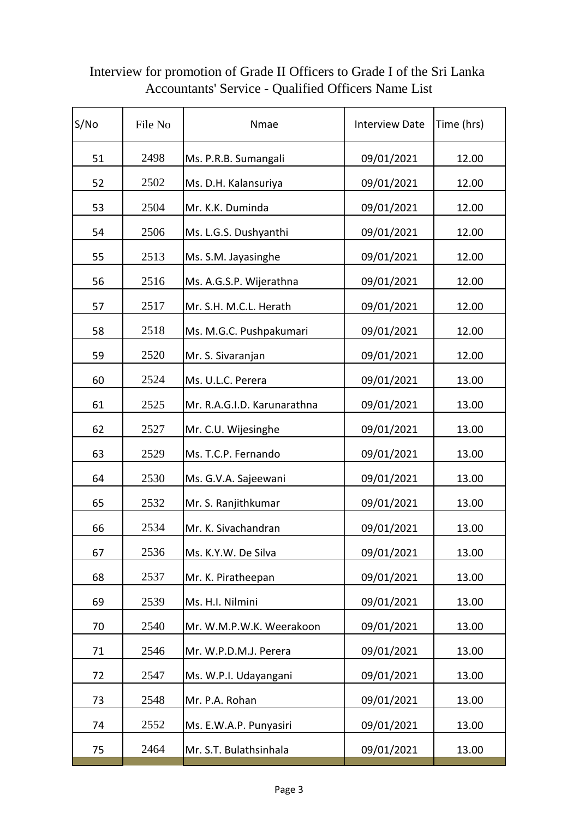| S/No | File No | Nmae                        | <b>Interview Date</b> | Time (hrs) |
|------|---------|-----------------------------|-----------------------|------------|
| 51   | 2498    | Ms. P.R.B. Sumangali        | 09/01/2021            | 12.00      |
| 52   | 2502    | Ms. D.H. Kalansuriya        | 09/01/2021            | 12.00      |
| 53   | 2504    | Mr. K.K. Duminda            | 09/01/2021            | 12.00      |
| 54   | 2506    | Ms. L.G.S. Dushyanthi       | 09/01/2021            | 12.00      |
| 55   | 2513    | Ms. S.M. Jayasinghe         | 09/01/2021            | 12.00      |
| 56   | 2516    | Ms. A.G.S.P. Wijerathna     | 09/01/2021            | 12.00      |
| 57   | 2517    | Mr. S.H. M.C.L. Herath      | 09/01/2021            | 12.00      |
| 58   | 2518    | Ms. M.G.C. Pushpakumari     | 09/01/2021            | 12.00      |
| 59   | 2520    | Mr. S. Sivaranjan           | 09/01/2021            | 12.00      |
| 60   | 2524    | Ms. U.L.C. Perera           | 09/01/2021            | 13.00      |
| 61   | 2525    | Mr. R.A.G.I.D. Karunarathna | 09/01/2021            | 13.00      |
| 62   | 2527    | Mr. C.U. Wijesinghe         | 09/01/2021            | 13.00      |
| 63   | 2529    | Ms. T.C.P. Fernando         | 09/01/2021            | 13.00      |
| 64   | 2530    | Ms. G.V.A. Sajeewani        | 09/01/2021            | 13.00      |
| 65   | 2532    | Mr. S. Ranjithkumar         | 09/01/2021            | 13.00      |
| 66   | 2534    | Mr. K. Sivachandran         | 09/01/2021            | 13.00      |
| 67   | 2536    | Ms. K.Y.W. De Silva         | 09/01/2021            | 13.00      |
| 68   | 2537    | Mr. K. Piratheepan          | 09/01/2021            | 13.00      |
| 69   | 2539    | Ms. H.I. Nilmini            | 09/01/2021            | 13.00      |
| 70   | 2540    | Mr. W.M.P.W.K. Weerakoon    | 09/01/2021            | 13.00      |
| 71   | 2546    | Mr. W.P.D.M.J. Perera       | 09/01/2021            | 13.00      |
| 72   | 2547    | Ms. W.P.I. Udayangani       | 09/01/2021            | 13.00      |
| 73   | 2548    | Mr. P.A. Rohan              | 09/01/2021            | 13.00      |
| 74   | 2552    | Ms. E.W.A.P. Punyasiri      | 09/01/2021            | 13.00      |
| 75   | 2464    | Mr. S.T. Bulathsinhala      | 09/01/2021            | 13.00      |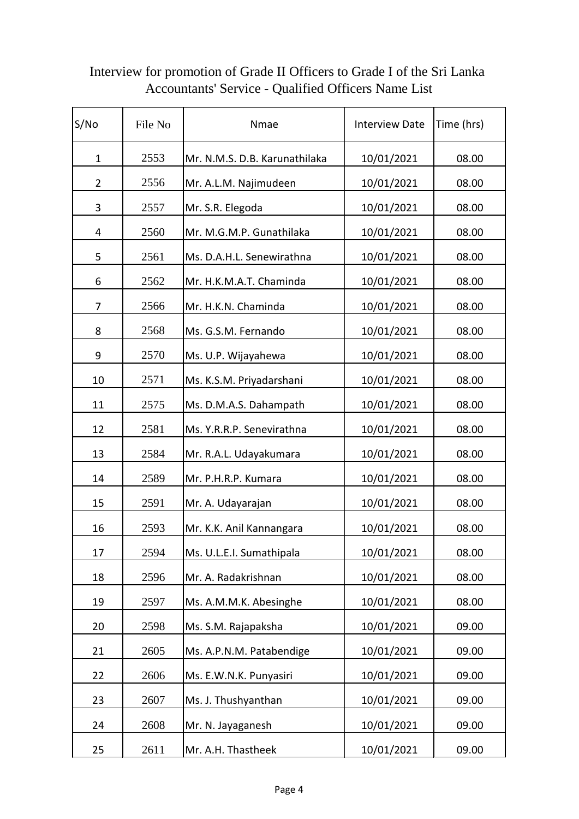| S/No           | File No | Nmae                          | <b>Interview Date</b> | Time (hrs) |
|----------------|---------|-------------------------------|-----------------------|------------|
| $\mathbf 1$    | 2553    | Mr. N.M.S. D.B. Karunathilaka | 10/01/2021            | 08.00      |
| $\overline{2}$ | 2556    | Mr. A.L.M. Najimudeen         | 10/01/2021            | 08.00      |
| 3              | 2557    | Mr. S.R. Elegoda              | 10/01/2021            | 08.00      |
| 4              | 2560    | Mr. M.G.M.P. Gunathilaka      | 10/01/2021            | 08.00      |
| 5              | 2561    | Ms. D.A.H.L. Senewirathna     | 10/01/2021            | 08.00      |
| 6              | 2562    | Mr. H.K.M.A.T. Chaminda       | 10/01/2021            | 08.00      |
| 7              | 2566    | Mr. H.K.N. Chaminda           | 10/01/2021            | 08.00      |
| 8              | 2568    | Ms. G.S.M. Fernando           | 10/01/2021            | 08.00      |
| 9              | 2570    | Ms. U.P. Wijayahewa           | 10/01/2021            | 08.00      |
| 10             | 2571    | Ms. K.S.M. Priyadarshani      | 10/01/2021            | 08.00      |
| 11             | 2575    | Ms. D.M.A.S. Dahampath        | 10/01/2021            | 08.00      |
| 12             | 2581    | Ms. Y.R.R.P. Senevirathna     | 10/01/2021            | 08.00      |
| 13             | 2584    | Mr. R.A.L. Udayakumara        | 10/01/2021            | 08.00      |
| 14             | 2589    | Mr. P.H.R.P. Kumara           | 10/01/2021            | 08.00      |
| 15             | 2591    | Mr. A. Udayarajan             | 10/01/2021            | 08.00      |
| 16             | 2593    | Mr. K.K. Anil Kannangara      | 10/01/2021            | 08.00      |
| 17             | 2594    | Ms. U.L.E.I. Sumathipala      | 10/01/2021            | 08.00      |
| 18             | 2596    | Mr. A. Radakrishnan           | 10/01/2021            | 08.00      |
| 19             | 2597    | Ms. A.M.M.K. Abesinghe        | 10/01/2021            | 08.00      |
| 20             | 2598    | Ms. S.M. Rajapaksha           | 10/01/2021            | 09.00      |
| 21             | 2605    | Ms. A.P.N.M. Patabendige      | 10/01/2021            | 09.00      |
| 22             | 2606    | Ms. E.W.N.K. Punyasiri        | 10/01/2021            | 09.00      |
| 23             | 2607    | Ms. J. Thushyanthan           | 10/01/2021            | 09.00      |
| 24             | 2608    | Mr. N. Jayaganesh             | 10/01/2021            | 09.00      |
| 25             | 2611    | Mr. A.H. Thastheek            | 10/01/2021            | 09.00      |